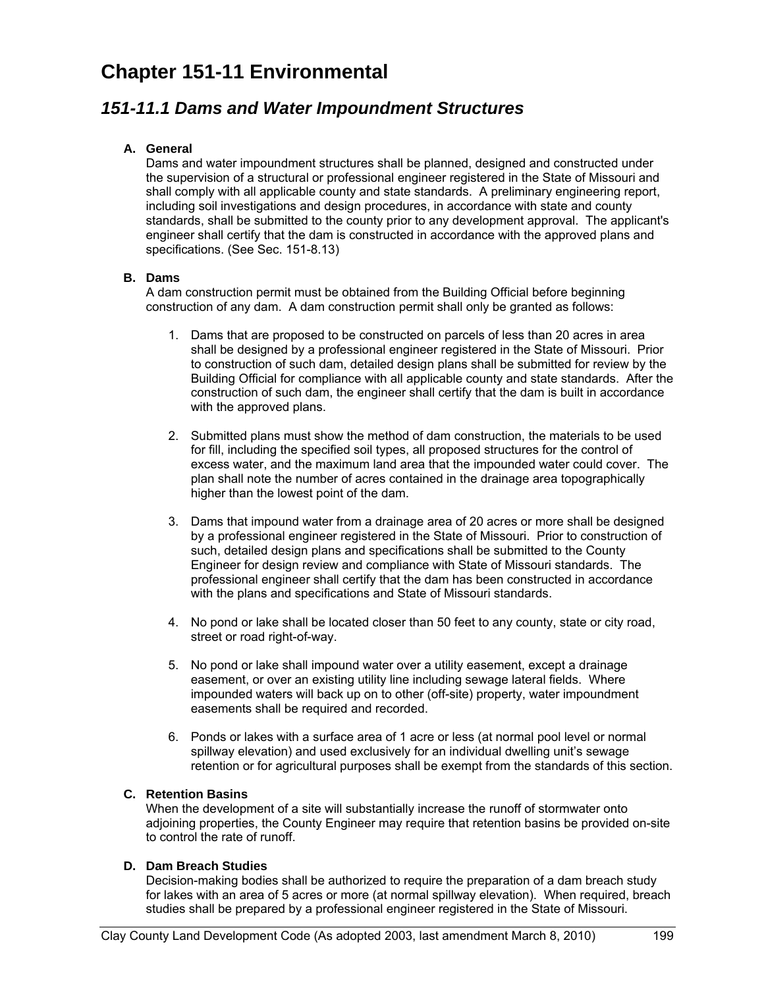# **Chapter 151-11 Environmental**

# *151-11.1 Dams and Water Impoundment Structures*

## **A. General**

Dams and water impoundment structures shall be planned, designed and constructed under the supervision of a structural or professional engineer registered in the State of Missouri and shall comply with all applicable county and state standards. A preliminary engineering report, including soil investigations and design procedures, in accordance with state and county standards, shall be submitted to the county prior to any development approval. The applicant's engineer shall certify that the dam is constructed in accordance with the approved plans and specifications. (See Sec. 151-8.13)

#### **B. Dams**

A dam construction permit must be obtained from the Building Official before beginning construction of any dam. A dam construction permit shall only be granted as follows:

- 1. Dams that are proposed to be constructed on parcels of less than 20 acres in area shall be designed by a professional engineer registered in the State of Missouri. Prior to construction of such dam, detailed design plans shall be submitted for review by the Building Official for compliance with all applicable county and state standards. After the construction of such dam, the engineer shall certify that the dam is built in accordance with the approved plans.
- 2. Submitted plans must show the method of dam construction, the materials to be used for fill, including the specified soil types, all proposed structures for the control of excess water, and the maximum land area that the impounded water could cover. The plan shall note the number of acres contained in the drainage area topographically higher than the lowest point of the dam.
- 3. Dams that impound water from a drainage area of 20 acres or more shall be designed by a professional engineer registered in the State of Missouri. Prior to construction of such, detailed design plans and specifications shall be submitted to the County Engineer for design review and compliance with State of Missouri standards. The professional engineer shall certify that the dam has been constructed in accordance with the plans and specifications and State of Missouri standards.
- 4. No pond or lake shall be located closer than 50 feet to any county, state or city road, street or road right-of-way.
- 5. No pond or lake shall impound water over a utility easement, except a drainage easement, or over an existing utility line including sewage lateral fields. Where impounded waters will back up on to other (off-site) property, water impoundment easements shall be required and recorded.
- 6. Ponds or lakes with a surface area of 1 acre or less (at normal pool level or normal spillway elevation) and used exclusively for an individual dwelling unit's sewage retention or for agricultural purposes shall be exempt from the standards of this section.

#### **C. Retention Basins**

When the development of a site will substantially increase the runoff of stormwater onto adjoining properties, the County Engineer may require that retention basins be provided on-site to control the rate of runoff.

#### **D. Dam Breach Studies**

Decision-making bodies shall be authorized to require the preparation of a dam breach study for lakes with an area of 5 acres or more (at normal spillway elevation). When required, breach studies shall be prepared by a professional engineer registered in the State of Missouri.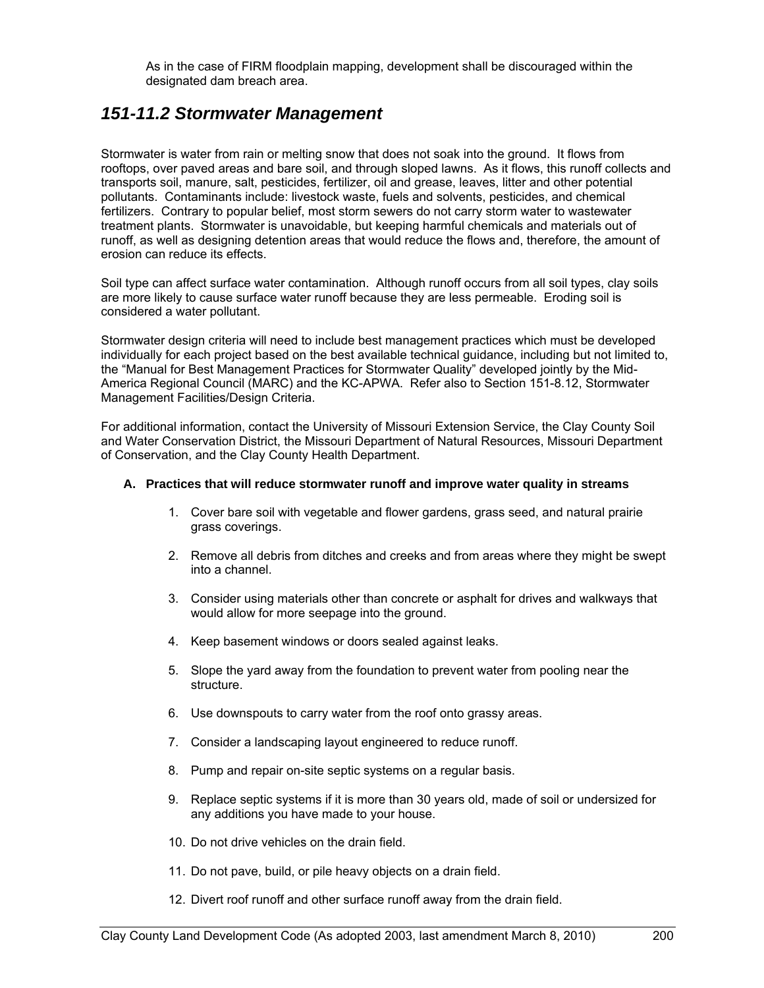As in the case of FIRM floodplain mapping, development shall be discouraged within the designated dam breach area.

## *151-11.2 Stormwater Management*

Stormwater is water from rain or melting snow that does not soak into the ground. It flows from rooftops, over paved areas and bare soil, and through sloped lawns. As it flows, this runoff collects and transports soil, manure, salt, pesticides, fertilizer, oil and grease, leaves, litter and other potential pollutants. Contaminants include: livestock waste, fuels and solvents, pesticides, and chemical fertilizers. Contrary to popular belief, most storm sewers do not carry storm water to wastewater treatment plants. Stormwater is unavoidable, but keeping harmful chemicals and materials out of runoff, as well as designing detention areas that would reduce the flows and, therefore, the amount of erosion can reduce its effects.

Soil type can affect surface water contamination. Although runoff occurs from all soil types, clay soils are more likely to cause surface water runoff because they are less permeable. Eroding soil is considered a water pollutant.

Stormwater design criteria will need to include best management practices which must be developed individually for each project based on the best available technical guidance, including but not limited to, the "Manual for Best Management Practices for Stormwater Quality" developed jointly by the Mid-America Regional Council (MARC) and the KC-APWA. Refer also to Section 151-8.12, Stormwater Management Facilities/Design Criteria.

For additional information, contact the University of Missouri Extension Service, the Clay County Soil and Water Conservation District, the Missouri Department of Natural Resources, Missouri Department of Conservation, and the Clay County Health Department.

#### **A. Practices that will reduce stormwater runoff and improve water quality in streams**

- 1. Cover bare soil with vegetable and flower gardens, grass seed, and natural prairie grass coverings.
- 2. Remove all debris from ditches and creeks and from areas where they might be swept into a channel.
- 3. Consider using materials other than concrete or asphalt for drives and walkways that would allow for more seepage into the ground.
- 4. Keep basement windows or doors sealed against leaks.
- 5. Slope the yard away from the foundation to prevent water from pooling near the structure.
- 6. Use downspouts to carry water from the roof onto grassy areas.
- 7. Consider a landscaping layout engineered to reduce runoff.
- 8. Pump and repair on-site septic systems on a regular basis.
- 9. Replace septic systems if it is more than 30 years old, made of soil or undersized for any additions you have made to your house.
- 10. Do not drive vehicles on the drain field.
- 11. Do not pave, build, or pile heavy objects on a drain field.
- 12. Divert roof runoff and other surface runoff away from the drain field.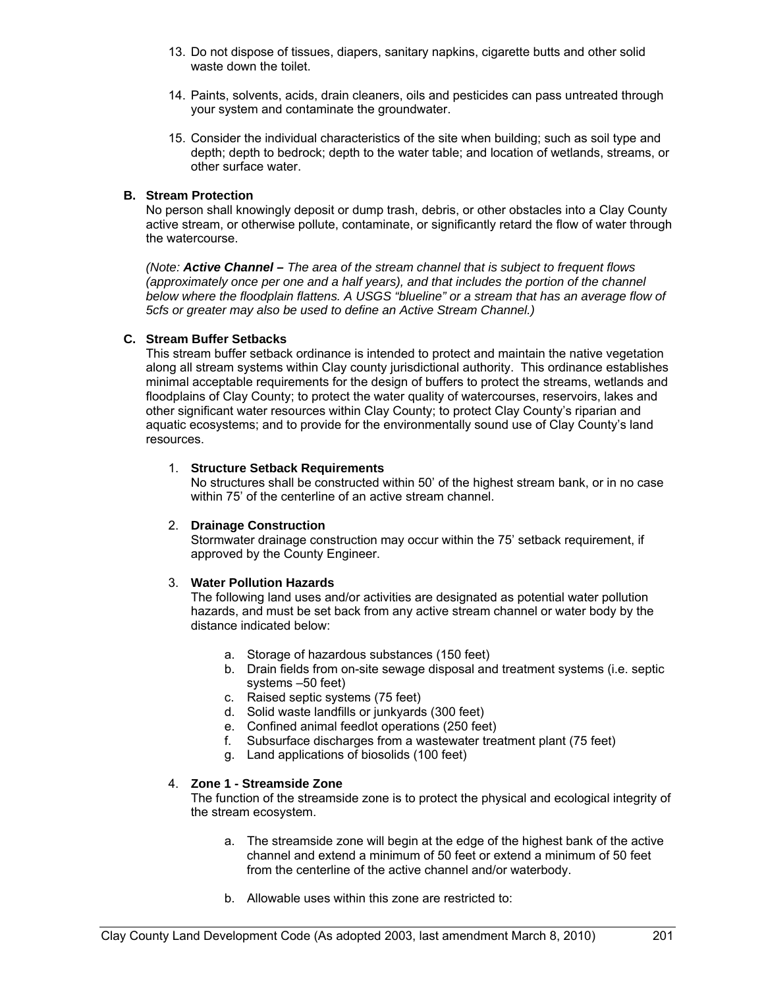- 13. Do not dispose of tissues, diapers, sanitary napkins, cigarette butts and other solid waste down the toilet.
- 14. Paints, solvents, acids, drain cleaners, oils and pesticides can pass untreated through your system and contaminate the groundwater.
- 15. Consider the individual characteristics of the site when building; such as soil type and depth; depth to bedrock; depth to the water table; and location of wetlands, streams, or other surface water.

#### **B. Stream Protection**

No person shall knowingly deposit or dump trash, debris, or other obstacles into a Clay County active stream, or otherwise pollute, contaminate, or significantly retard the flow of water through the watercourse.

*(Note: Active Channel – The area of the stream channel that is subject to frequent flows (approximately once per one and a half years), and that includes the portion of the channel below where the floodplain flattens. A USGS "blueline" or a stream that has an average flow of 5cfs or greater may also be used to define an Active Stream Channel.)* 

#### **C. Stream Buffer Setbacks**

This stream buffer setback ordinance is intended to protect and maintain the native vegetation along all stream systems within Clay county jurisdictional authority. This ordinance establishes minimal acceptable requirements for the design of buffers to protect the streams, wetlands and floodplains of Clay County; to protect the water quality of watercourses, reservoirs, lakes and other significant water resources within Clay County; to protect Clay County's riparian and aquatic ecosystems; and to provide for the environmentally sound use of Clay County's land resources.

#### 1. **Structure Setback Requirements**

No structures shall be constructed within 50' of the highest stream bank, or in no case within 75' of the centerline of an active stream channel.

#### 2. **Drainage Construction**

Stormwater drainage construction may occur within the 75' setback requirement, if approved by the County Engineer.

#### 3. **Water Pollution Hazards**

The following land uses and/or activities are designated as potential water pollution hazards, and must be set back from any active stream channel or water body by the distance indicated below:

- a. Storage of hazardous substances (150 feet)
- b. Drain fields from on-site sewage disposal and treatment systems (i.e. septic systems –50 feet)
- c. Raised septic systems (75 feet)
- d. Solid waste landfills or junkyards (300 feet)
- e. Confined animal feedlot operations (250 feet)
- f. Subsurface discharges from a wastewater treatment plant (75 feet)
- g. Land applications of biosolids (100 feet)

#### 4. **Zone 1 - Streamside Zone**

The function of the streamside zone is to protect the physical and ecological integrity of the stream ecosystem.

- a. The streamside zone will begin at the edge of the highest bank of the active channel and extend a minimum of 50 feet or extend a minimum of 50 feet from the centerline of the active channel and/or waterbody.
- b. Allowable uses within this zone are restricted to: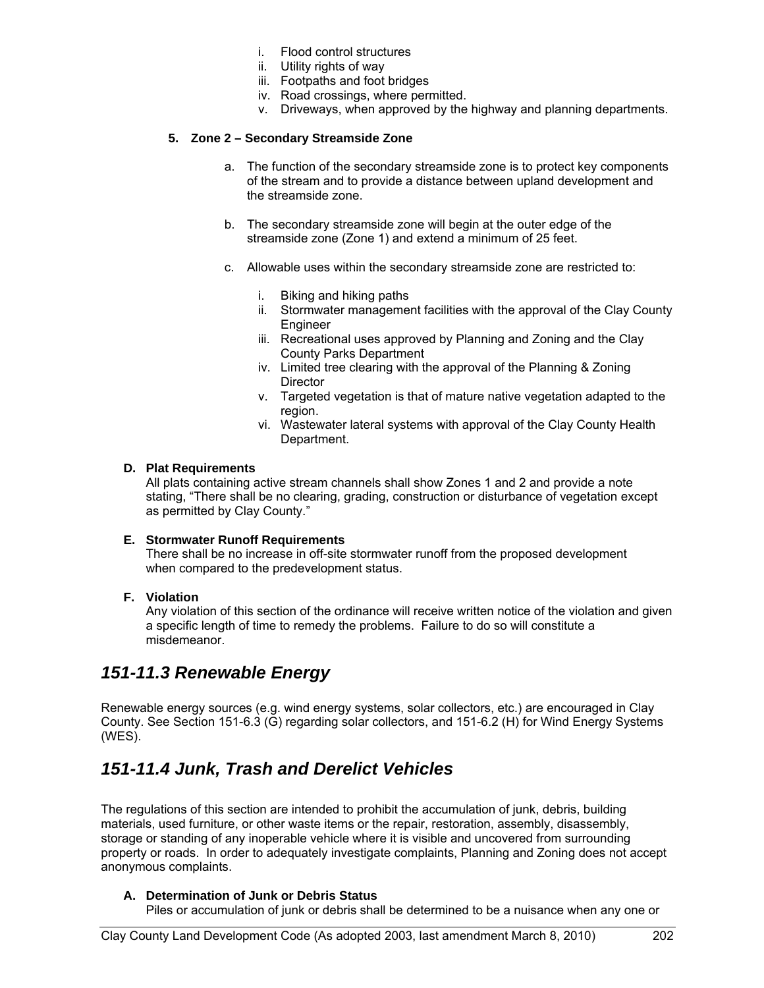- i. Flood control structures
- ii. Utility rights of way
- iii. Footpaths and foot bridges
- iv. Road crossings, where permitted.
- v. Driveways, when approved by the highway and planning departments.

#### **5. Zone 2 – Secondary Streamside Zone**

- a. The function of the secondary streamside zone is to protect key components of the stream and to provide a distance between upland development and the streamside zone.
- b. The secondary streamside zone will begin at the outer edge of the streamside zone (Zone 1) and extend a minimum of 25 feet.
- c. Allowable uses within the secondary streamside zone are restricted to:
	- i. Biking and hiking paths
	- ii. Stormwater management facilities with the approval of the Clay County Engineer
	- iii. Recreational uses approved by Planning and Zoning and the Clay County Parks Department
	- iv. Limited tree clearing with the approval of the Planning & Zoning **Director**
	- v. Targeted vegetation is that of mature native vegetation adapted to the region.
	- vi. Wastewater lateral systems with approval of the Clay County Health Department.

#### **D. Plat Requirements**

All plats containing active stream channels shall show Zones 1 and 2 and provide a note stating, "There shall be no clearing, grading, construction or disturbance of vegetation except as permitted by Clay County."

#### **E. Stormwater Runoff Requirements**

There shall be no increase in off-site stormwater runoff from the proposed development when compared to the predevelopment status.

**F. Violation**

Any violation of this section of the ordinance will receive written notice of the violation and given a specific length of time to remedy the problems. Failure to do so will constitute a misdemeanor.

## *151-11.3 Renewable Energy*

Renewable energy sources (e.g. wind energy systems, solar collectors, etc.) are encouraged in Clay County. See Section 151-6.3 (G) regarding solar collectors, and 151-6.2 (H) for Wind Energy Systems (WES).

# *151-11.4 Junk, Trash and Derelict Vehicles*

The regulations of this section are intended to prohibit the accumulation of junk, debris, building materials, used furniture, or other waste items or the repair, restoration, assembly, disassembly, storage or standing of any inoperable vehicle where it is visible and uncovered from surrounding property or roads. In order to adequately investigate complaints, Planning and Zoning does not accept anonymous complaints.

#### **A. Determination of Junk or Debris Status**

Piles or accumulation of junk or debris shall be determined to be a nuisance when any one or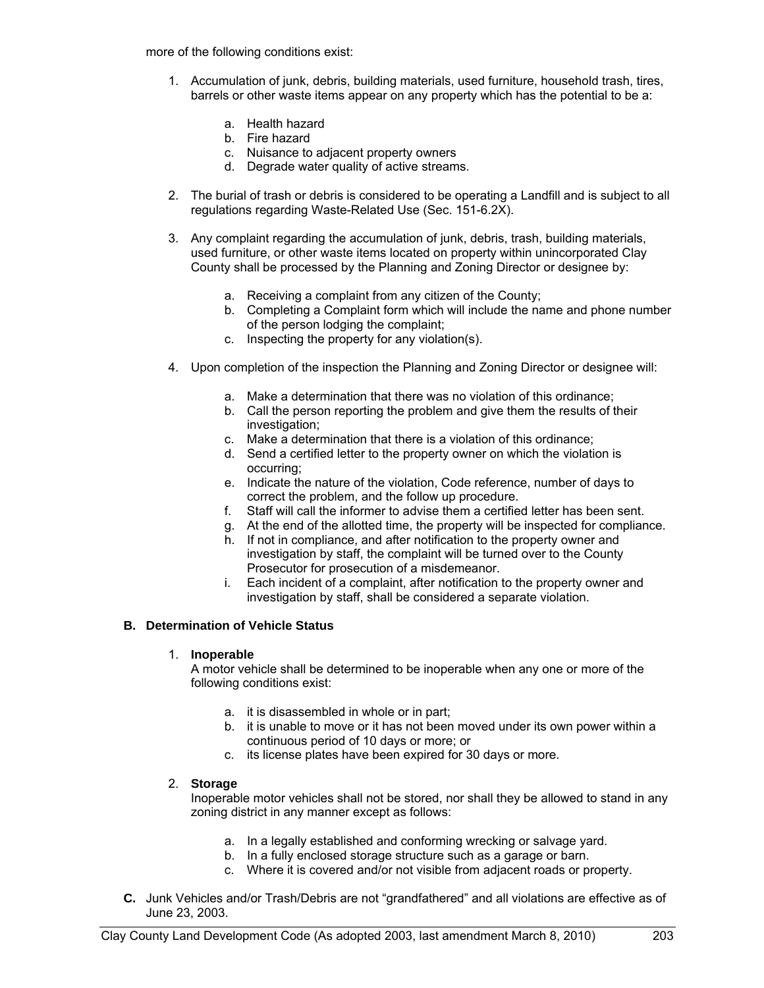more of the following conditions exist:

- 1. Accumulation of junk, debris, building materials, used furniture, household trash, tires, barrels or other waste items appear on any property which has the potential to be a:
	- a. Health hazard
	- b. Fire hazard
	- c. Nuisance to adjacent property owners
	- d. Degrade water quality of active streams.
- 2. The burial of trash or debris is considered to be operating a Landfill and is subject to all regulations regarding Waste-Related Use (Sec. 151-6.2X).
- 3. Any complaint regarding the accumulation of junk, debris, trash, building materials, used furniture, or other waste items located on property within unincorporated Clay County shall be processed by the Planning and Zoning Director or designee by:
	- a. Receiving a complaint from any citizen of the County;
	- b. Completing a Complaint form which will include the name and phone number of the person lodging the complaint;
	- c. Inspecting the property for any violation(s).
- 4. Upon completion of the inspection the Planning and Zoning Director or designee will:
	- a. Make a determination that there was no violation of this ordinance;
	- b. Call the person reporting the problem and give them the results of their investigation;
	- c. Make a determination that there is a violation of this ordinance;
	- d. Send a certified letter to the property owner on which the violation is occurring;
	- e. Indicate the nature of the violation, Code reference, number of days to correct the problem, and the follow up procedure.
	- f. Staff will call the informer to advise them a certified letter has been sent.
	- g. At the end of the allotted time, the property will be inspected for compliance.
	- h. If not in compliance, and after notification to the property owner and investigation by staff, the complaint will be turned over to the County Prosecutor for prosecution of a misdemeanor.
	- i. Each incident of a complaint, after notification to the property owner and investigation by staff, shall be considered a separate violation.

#### **B. Determination of Vehicle Status**

#### 1. **Inoperable**

A motor vehicle shall be determined to be inoperable when any one or more of the following conditions exist:

- a. it is disassembled in whole or in part;
- b. it is unable to move or it has not been moved under its own power within a continuous period of 10 days or more; or
- c. its license plates have been expired for 30 days or more.

#### 2. **Storage**

Inoperable motor vehicles shall not be stored, nor shall they be allowed to stand in any zoning district in any manner except as follows:

- a. In a legally established and conforming wrecking or salvage yard.
- b. In a fully enclosed storage structure such as a garage or barn.
- c. Where it is covered and/or not visible from adjacent roads or property.
- **C.** Junk Vehicles and/or Trash/Debris are not "grandfathered" and all violations are effective as of June 23, 2003.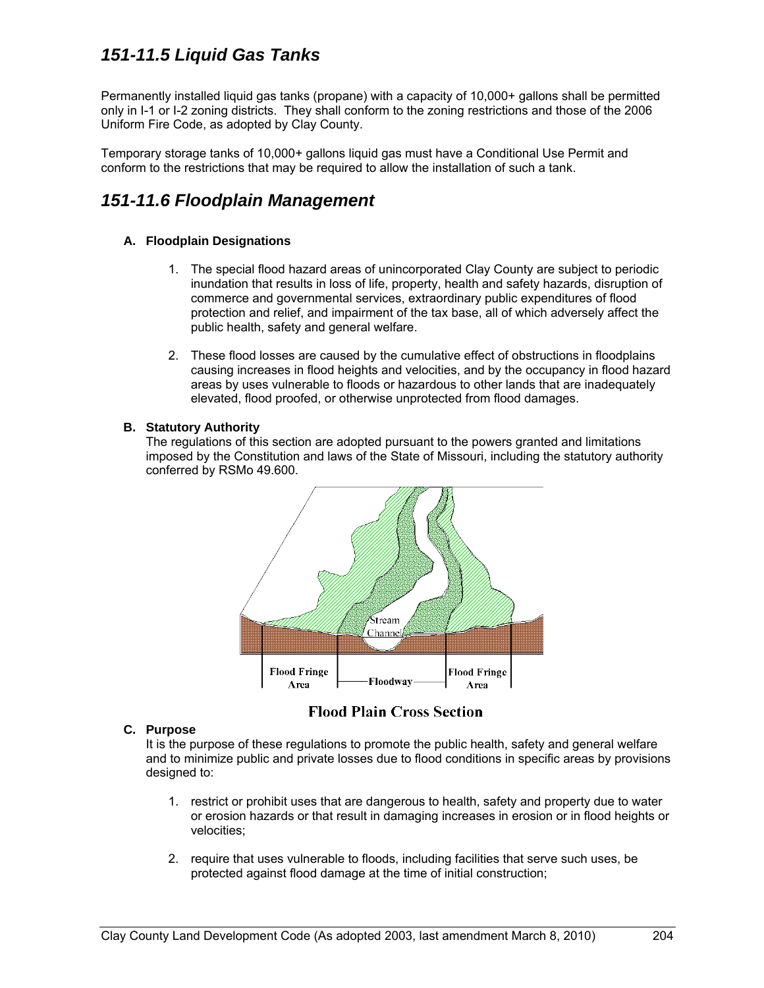# *151-11.5 Liquid Gas Tanks*

Permanently installed liquid gas tanks (propane) with a capacity of 10,000+ gallons shall be permitted only in I-1 or I-2 zoning districts. They shall conform to the zoning restrictions and those of the 2006 Uniform Fire Code, as adopted by Clay County.

Temporary storage tanks of 10,000+ gallons liquid gas must have a Conditional Use Permit and conform to the restrictions that may be required to allow the installation of such a tank.

# *151-11.6 Floodplain Management*

## **A. Floodplain Designations**

- 1. The special flood hazard areas of unincorporated Clay County are subject to periodic inundation that results in loss of life, property, health and safety hazards, disruption of commerce and governmental services, extraordinary public expenditures of flood protection and relief, and impairment of the tax base, all of which adversely affect the public health, safety and general welfare.
- 2. These flood losses are caused by the cumulative effect of obstructions in floodplains causing increases in flood heights and velocities, and by the occupancy in flood hazard areas by uses vulnerable to floods or hazardous to other lands that are inadequately elevated, flood proofed, or otherwise unprotected from flood damages.

#### **B. Statutory Authority**

The regulations of this section are adopted pursuant to the powers granted and limitations imposed by the Constitution and laws of the State of Missouri, including the statutory authority conferred by RSMo 49.600.





#### **C. Purpose**

It is the purpose of these regulations to promote the public health, safety and general welfare and to minimize public and private losses due to flood conditions in specific areas by provisions designed to:

- 1. restrict or prohibit uses that are dangerous to health, safety and property due to water or erosion hazards or that result in damaging increases in erosion or in flood heights or velocities;
- 2. require that uses vulnerable to floods, including facilities that serve such uses, be protected against flood damage at the time of initial construction;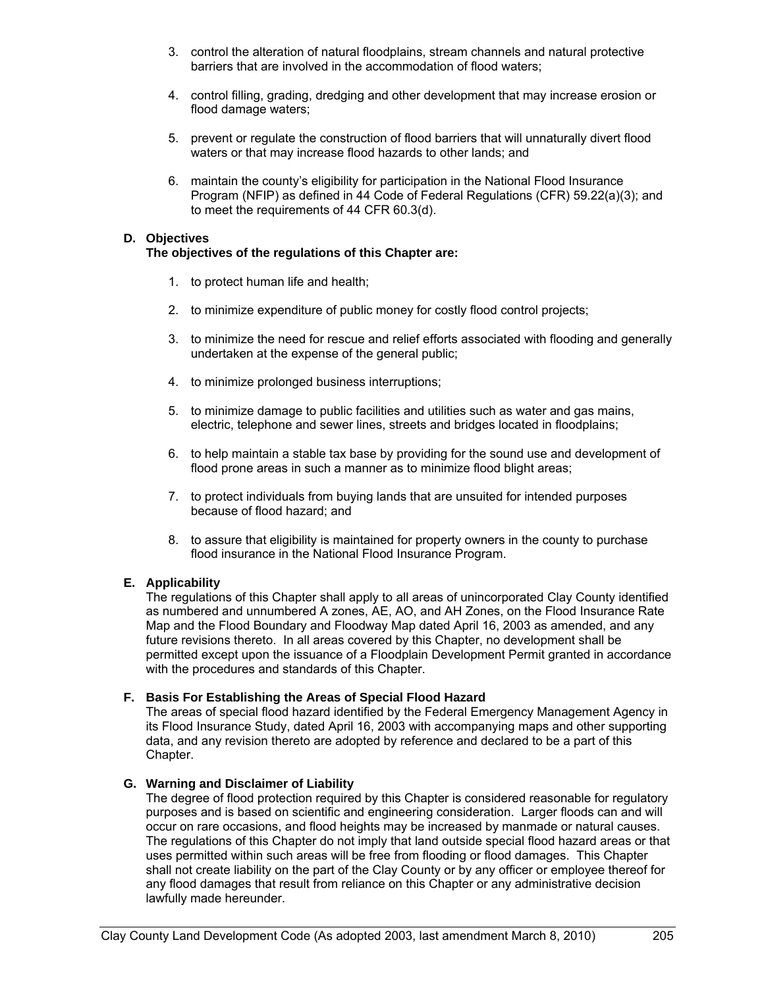- 3. control the alteration of natural floodplains, stream channels and natural protective barriers that are involved in the accommodation of flood waters;
- 4. control filling, grading, dredging and other development that may increase erosion or flood damage waters;
- 5. prevent or regulate the construction of flood barriers that will unnaturally divert flood waters or that may increase flood hazards to other lands; and
- 6. maintain the county's eligibility for participation in the National Flood Insurance Program (NFIP) as defined in 44 Code of Federal Regulations (CFR) 59.22(a)(3); and to meet the requirements of 44 CFR 60.3(d).

#### **D. Objectives**

#### **The objectives of the regulations of this Chapter are:**

- 1. to protect human life and health;
- 2. to minimize expenditure of public money for costly flood control projects;
- 3. to minimize the need for rescue and relief efforts associated with flooding and generally undertaken at the expense of the general public;
- 4. to minimize prolonged business interruptions;
- 5. to minimize damage to public facilities and utilities such as water and gas mains, electric, telephone and sewer lines, streets and bridges located in floodplains;
- 6. to help maintain a stable tax base by providing for the sound use and development of flood prone areas in such a manner as to minimize flood blight areas;
- 7. to protect individuals from buying lands that are unsuited for intended purposes because of flood hazard; and
- 8. to assure that eligibility is maintained for property owners in the county to purchase flood insurance in the National Flood Insurance Program.

#### **E. Applicability**

The regulations of this Chapter shall apply to all areas of unincorporated Clay County identified as numbered and unnumbered A zones, AE, AO, and AH Zones, on the Flood Insurance Rate Map and the Flood Boundary and Floodway Map dated April 16, 2003 as amended, and any future revisions thereto. In all areas covered by this Chapter, no development shall be permitted except upon the issuance of a Floodplain Development Permit granted in accordance with the procedures and standards of this Chapter.

#### **F. Basis For Establishing the Areas of Special Flood Hazard**

The areas of special flood hazard identified by the Federal Emergency Management Agency in its Flood Insurance Study, dated April 16, 2003 with accompanying maps and other supporting data, and any revision thereto are adopted by reference and declared to be a part of this Chapter.

#### **G. Warning and Disclaimer of Liability**

The degree of flood protection required by this Chapter is considered reasonable for regulatory purposes and is based on scientific and engineering consideration. Larger floods can and will occur on rare occasions, and flood heights may be increased by manmade or natural causes. The regulations of this Chapter do not imply that land outside special flood hazard areas or that uses permitted within such areas will be free from flooding or flood damages. This Chapter shall not create liability on the part of the Clay County or by any officer or employee thereof for any flood damages that result from reliance on this Chapter or any administrative decision lawfully made hereunder.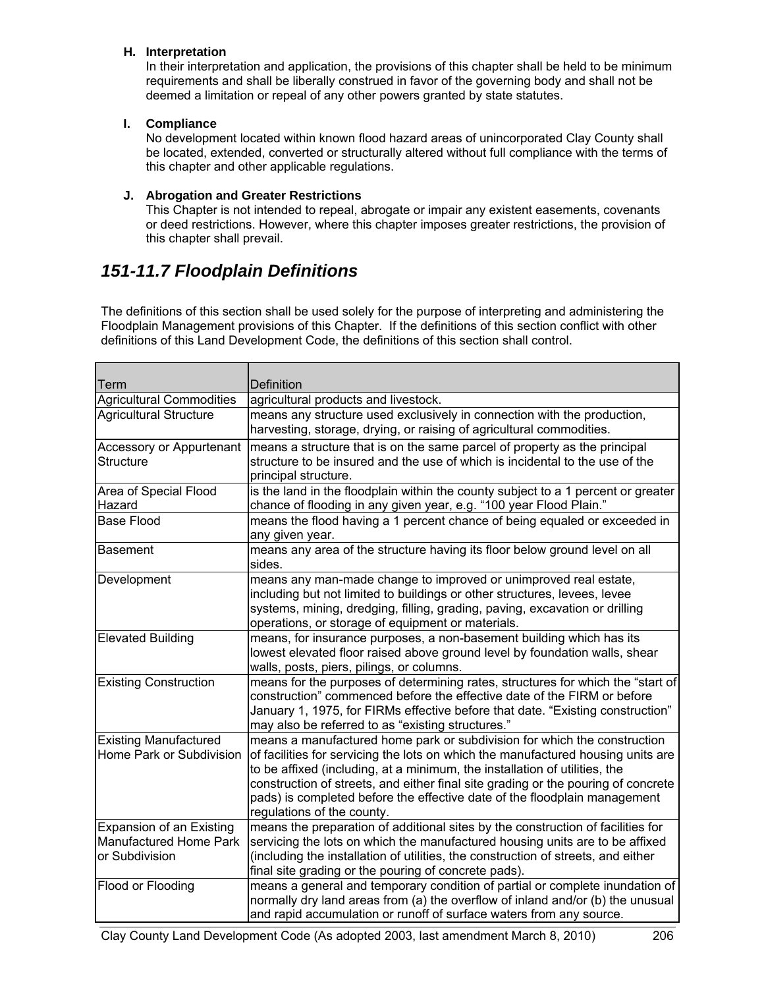### **H. Interpretation**

In their interpretation and application, the provisions of this chapter shall be held to be minimum requirements and shall be liberally construed in favor of the governing body and shall not be deemed a limitation or repeal of any other powers granted by state statutes.

## **I. Compliance**

 $\overline{ }$ 

No development located within known flood hazard areas of unincorporated Clay County shall be located, extended, converted or structurally altered without full compliance with the terms of this chapter and other applicable regulations.

## **J. Abrogation and Greater Restrictions**

This Chapter is not intended to repeal, abrogate or impair any existent easements, covenants or deed restrictions. However, where this chapter imposes greater restrictions, the provision of this chapter shall prevail.

# *151-11.7 Floodplain Definitions*

The definitions of this section shall be used solely for the purpose of interpreting and administering the Floodplain Management provisions of this Chapter. If the definitions of this section conflict with other definitions of this Land Development Code, the definitions of this section shall control.

| Term                                                                        | Definition                                                                                                                                                                                                                                                                                                                                                                                                                                 |
|-----------------------------------------------------------------------------|--------------------------------------------------------------------------------------------------------------------------------------------------------------------------------------------------------------------------------------------------------------------------------------------------------------------------------------------------------------------------------------------------------------------------------------------|
| <b>Agricultural Commodities</b>                                             | agricultural products and livestock.                                                                                                                                                                                                                                                                                                                                                                                                       |
| <b>Agricultural Structure</b>                                               | means any structure used exclusively in connection with the production,<br>harvesting, storage, drying, or raising of agricultural commodities.                                                                                                                                                                                                                                                                                            |
| Accessory or Appurtenant<br><b>Structure</b>                                | means a structure that is on the same parcel of property as the principal<br>structure to be insured and the use of which is incidental to the use of the<br>principal structure.                                                                                                                                                                                                                                                          |
| Area of Special Flood<br>Hazard                                             | is the land in the floodplain within the county subject to a 1 percent or greater<br>chance of flooding in any given year, e.g. "100 year Flood Plain."                                                                                                                                                                                                                                                                                    |
| <b>Base Flood</b>                                                           | means the flood having a 1 percent chance of being equaled or exceeded in<br>any given year.                                                                                                                                                                                                                                                                                                                                               |
| <b>Basement</b>                                                             | means any area of the structure having its floor below ground level on all<br>sides.                                                                                                                                                                                                                                                                                                                                                       |
| Development                                                                 | means any man-made change to improved or unimproved real estate,<br>including but not limited to buildings or other structures, levees, levee<br>systems, mining, dredging, filling, grading, paving, excavation or drilling<br>operations, or storage of equipment or materials.                                                                                                                                                          |
| <b>Elevated Building</b>                                                    | means, for insurance purposes, a non-basement building which has its<br>lowest elevated floor raised above ground level by foundation walls, shear<br>walls, posts, piers, pilings, or columns.                                                                                                                                                                                                                                            |
| <b>Existing Construction</b>                                                | means for the purposes of determining rates, structures for which the "start of<br>construction" commenced before the effective date of the FIRM or before<br>January 1, 1975, for FIRMs effective before that date. "Existing construction"<br>may also be referred to as "existing structures."                                                                                                                                          |
| <b>Existing Manufactured</b><br>Home Park or Subdivision                    | means a manufactured home park or subdivision for which the construction<br>of facilities for servicing the lots on which the manufactured housing units are<br>to be affixed (including, at a minimum, the installation of utilities, the<br>construction of streets, and either final site grading or the pouring of concrete<br>pads) is completed before the effective date of the floodplain management<br>regulations of the county. |
| <b>Expansion of an Existing</b><br>Manufactured Home Park<br>or Subdivision | means the preparation of additional sites by the construction of facilities for<br>servicing the lots on which the manufactured housing units are to be affixed<br>(including the installation of utilities, the construction of streets, and either<br>final site grading or the pouring of concrete pads).                                                                                                                               |
| Flood or Flooding                                                           | means a general and temporary condition of partial or complete inundation of<br>normally dry land areas from (a) the overflow of inland and/or (b) the unusual<br>and rapid accumulation or runoff of surface waters from any source.                                                                                                                                                                                                      |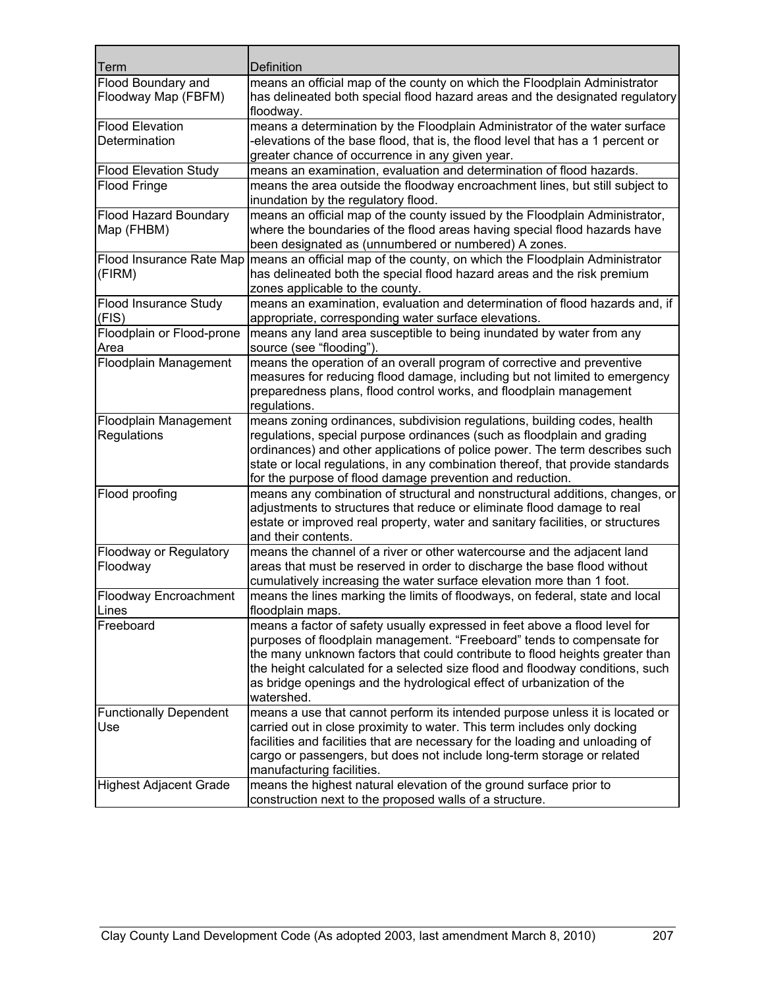| Term                                       | Definition                                                                                                                                                                                                                                                                                                                                                                                                   |
|--------------------------------------------|--------------------------------------------------------------------------------------------------------------------------------------------------------------------------------------------------------------------------------------------------------------------------------------------------------------------------------------------------------------------------------------------------------------|
| Flood Boundary and<br>Floodway Map (FBFM)  | means an official map of the county on which the Floodplain Administrator<br>has delineated both special flood hazard areas and the designated regulatory<br>floodway.                                                                                                                                                                                                                                       |
| <b>Flood Elevation</b><br>Determination    | means a determination by the Floodplain Administrator of the water surface<br>-elevations of the base flood, that is, the flood level that has a 1 percent or<br>greater chance of occurrence in any given year.                                                                                                                                                                                             |
| <b>Flood Elevation Study</b>               | means an examination, evaluation and determination of flood hazards.                                                                                                                                                                                                                                                                                                                                         |
| <b>Flood Fringe</b>                        | means the area outside the floodway encroachment lines, but still subject to<br>inundation by the regulatory flood.                                                                                                                                                                                                                                                                                          |
| <b>Flood Hazard Boundary</b><br>Map (FHBM) | means an official map of the county issued by the Floodplain Administrator,<br>where the boundaries of the flood areas having special flood hazards have<br>been designated as (unnumbered or numbered) A zones.                                                                                                                                                                                             |
| Flood Insurance Rate Map<br>(FIRM)         | means an official map of the county, on which the Floodplain Administrator<br>has delineated both the special flood hazard areas and the risk premium<br>zones applicable to the county.                                                                                                                                                                                                                     |
| <b>Flood Insurance Study</b><br>(FIS)      | means an examination, evaluation and determination of flood hazards and, if<br>appropriate, corresponding water surface elevations.                                                                                                                                                                                                                                                                          |
| Floodplain or Flood-prone<br>Area          | means any land area susceptible to being inundated by water from any<br>source (see "flooding").                                                                                                                                                                                                                                                                                                             |
| Floodplain Management                      | means the operation of an overall program of corrective and preventive<br>measures for reducing flood damage, including but not limited to emergency<br>preparedness plans, flood control works, and floodplain management<br>regulations.                                                                                                                                                                   |
| Floodplain Management<br>Regulations       | means zoning ordinances, subdivision regulations, building codes, health<br>regulations, special purpose ordinances (such as floodplain and grading<br>ordinances) and other applications of police power. The term describes such<br>state or local regulations, in any combination thereof, that provide standards<br>for the purpose of flood damage prevention and reduction.                            |
| Flood proofing                             | means any combination of structural and nonstructural additions, changes, or<br>adjustments to structures that reduce or eliminate flood damage to real<br>estate or improved real property, water and sanitary facilities, or structures<br>and their contents.                                                                                                                                             |
| <b>Floodway or Regulatory</b><br>Floodway  | means the channel of a river or other watercourse and the adjacent land<br>areas that must be reserved in order to discharge the base flood without<br>cumulatively increasing the water surface elevation more than 1 foot.                                                                                                                                                                                 |
| <b>Floodway Encroachment</b><br>Lines      | means the lines marking the limits of floodways, on federal, state and local<br>floodplain maps.                                                                                                                                                                                                                                                                                                             |
| Freeboard                                  | means a factor of safety usually expressed in feet above a flood level for<br>purposes of floodplain management. "Freeboard" tends to compensate for<br>the many unknown factors that could contribute to flood heights greater than<br>the height calculated for a selected size flood and floodway conditions, such<br>as bridge openings and the hydrological effect of urbanization of the<br>watershed. |
| <b>Functionally Dependent</b><br>Use       | means a use that cannot perform its intended purpose unless it is located or<br>carried out in close proximity to water. This term includes only docking<br>facilities and facilities that are necessary for the loading and unloading of<br>cargo or passengers, but does not include long-term storage or related<br>manufacturing facilities.                                                             |
| <b>Highest Adjacent Grade</b>              | means the highest natural elevation of the ground surface prior to<br>construction next to the proposed walls of a structure.                                                                                                                                                                                                                                                                                |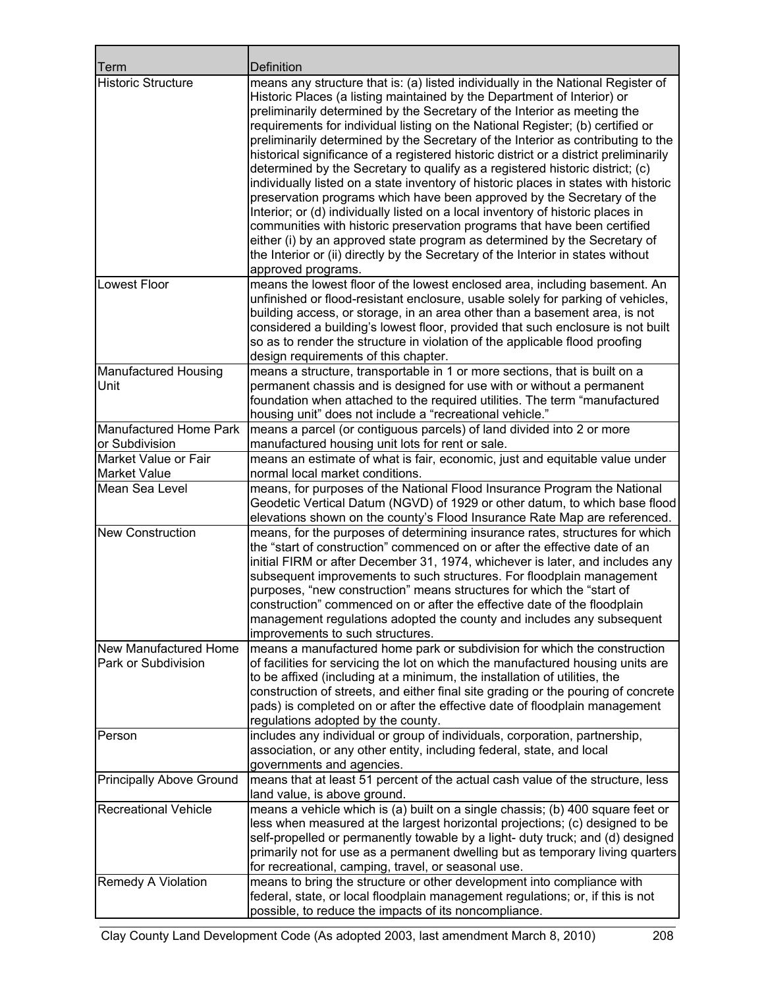| Term<br><b>Historic Structure</b><br>Lowest Floor | Definition<br>means any structure that is: (a) listed individually in the National Register of<br>Historic Places (a listing maintained by the Department of Interior) or<br>preliminarily determined by the Secretary of the Interior as meeting the<br>requirements for individual listing on the National Register; (b) certified or<br>preliminarily determined by the Secretary of the Interior as contributing to the<br>historical significance of a registered historic district or a district preliminarily<br>determined by the Secretary to qualify as a registered historic district; (c)<br>individually listed on a state inventory of historic places in states with historic<br>preservation programs which have been approved by the Secretary of the<br>Interior; or (d) individually listed on a local inventory of historic places in<br>communities with historic preservation programs that have been certified<br>either (i) by an approved state program as determined by the Secretary of<br>the Interior or (ii) directly by the Secretary of the Interior in states without<br>approved programs.<br>means the lowest floor of the lowest enclosed area, including basement. An<br>unfinished or flood-resistant enclosure, usable solely for parking of vehicles, |
|---------------------------------------------------|-----------------------------------------------------------------------------------------------------------------------------------------------------------------------------------------------------------------------------------------------------------------------------------------------------------------------------------------------------------------------------------------------------------------------------------------------------------------------------------------------------------------------------------------------------------------------------------------------------------------------------------------------------------------------------------------------------------------------------------------------------------------------------------------------------------------------------------------------------------------------------------------------------------------------------------------------------------------------------------------------------------------------------------------------------------------------------------------------------------------------------------------------------------------------------------------------------------------------------------------------------------------------------------------------|
|                                                   | building access, or storage, in an area other than a basement area, is not<br>considered a building's lowest floor, provided that such enclosure is not built<br>so as to render the structure in violation of the applicable flood proofing<br>design requirements of this chapter.                                                                                                                                                                                                                                                                                                                                                                                                                                                                                                                                                                                                                                                                                                                                                                                                                                                                                                                                                                                                          |
| Manufactured Housing<br>Unit                      | means a structure, transportable in 1 or more sections, that is built on a<br>permanent chassis and is designed for use with or without a permanent<br>foundation when attached to the required utilities. The term "manufactured<br>housing unit" does not include a "recreational vehicle."                                                                                                                                                                                                                                                                                                                                                                                                                                                                                                                                                                                                                                                                                                                                                                                                                                                                                                                                                                                                 |
| <b>Manufactured Home Park</b><br>or Subdivision   | means a parcel (or contiguous parcels) of land divided into 2 or more<br>manufactured housing unit lots for rent or sale.                                                                                                                                                                                                                                                                                                                                                                                                                                                                                                                                                                                                                                                                                                                                                                                                                                                                                                                                                                                                                                                                                                                                                                     |
| Market Value or Fair<br><b>Market Value</b>       | means an estimate of what is fair, economic, just and equitable value under<br>normal local market conditions.                                                                                                                                                                                                                                                                                                                                                                                                                                                                                                                                                                                                                                                                                                                                                                                                                                                                                                                                                                                                                                                                                                                                                                                |
| Mean Sea Level                                    | means, for purposes of the National Flood Insurance Program the National<br>Geodetic Vertical Datum (NGVD) of 1929 or other datum, to which base flood<br>elevations shown on the county's Flood Insurance Rate Map are referenced.                                                                                                                                                                                                                                                                                                                                                                                                                                                                                                                                                                                                                                                                                                                                                                                                                                                                                                                                                                                                                                                           |
| <b>New Construction</b>                           | means, for the purposes of determining insurance rates, structures for which<br>the "start of construction" commenced on or after the effective date of an<br>initial FIRM or after December 31, 1974, whichever is later, and includes any<br>subsequent improvements to such structures. For floodplain management<br>purposes, "new construction" means structures for which the "start of<br>construction" commenced on or after the effective date of the floodplain<br>management regulations adopted the county and includes any subsequent<br>improvements to such structures.                                                                                                                                                                                                                                                                                                                                                                                                                                                                                                                                                                                                                                                                                                        |
| New Manufactured Home<br>Park or Subdivision      | means a manufactured home park or subdivision for which the construction<br>of facilities for servicing the lot on which the manufactured housing units are<br>to be affixed (including at a minimum, the installation of utilities, the<br>construction of streets, and either final site grading or the pouring of concrete<br>pads) is completed on or after the effective date of floodplain management<br>regulations adopted by the county.                                                                                                                                                                                                                                                                                                                                                                                                                                                                                                                                                                                                                                                                                                                                                                                                                                             |
| Person                                            | includes any individual or group of individuals, corporation, partnership,<br>association, or any other entity, including federal, state, and local<br>governments and agencies.                                                                                                                                                                                                                                                                                                                                                                                                                                                                                                                                                                                                                                                                                                                                                                                                                                                                                                                                                                                                                                                                                                              |
| <b>Principally Above Ground</b>                   | means that at least 51 percent of the actual cash value of the structure, less<br>land value, is above ground.                                                                                                                                                                                                                                                                                                                                                                                                                                                                                                                                                                                                                                                                                                                                                                                                                                                                                                                                                                                                                                                                                                                                                                                |
| <b>Recreational Vehicle</b>                       | means a vehicle which is (a) built on a single chassis; (b) 400 square feet or<br>less when measured at the largest horizontal projections; (c) designed to be<br>self-propelled or permanently towable by a light- duty truck; and (d) designed<br>primarily not for use as a permanent dwelling but as temporary living quarters<br>for recreational, camping, travel, or seasonal use.                                                                                                                                                                                                                                                                                                                                                                                                                                                                                                                                                                                                                                                                                                                                                                                                                                                                                                     |
| Remedy A Violation                                | means to bring the structure or other development into compliance with<br>federal, state, or local floodplain management regulations; or, if this is not<br>possible, to reduce the impacts of its noncompliance.                                                                                                                                                                                                                                                                                                                                                                                                                                                                                                                                                                                                                                                                                                                                                                                                                                                                                                                                                                                                                                                                             |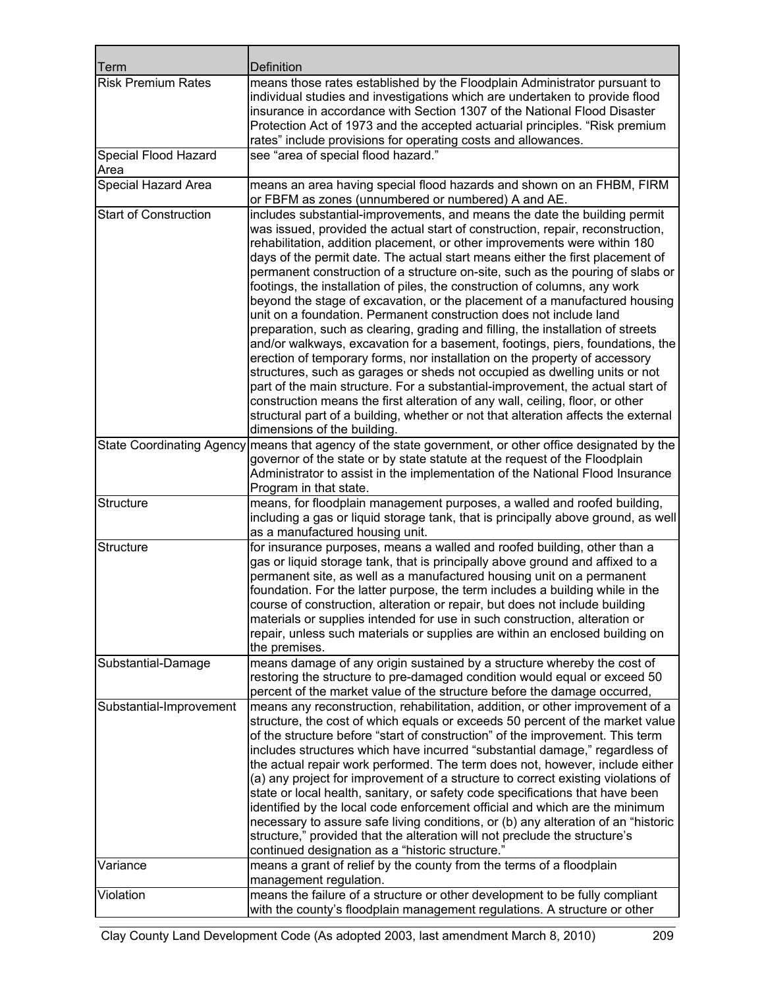| Term                             | Definition                                                                                                                                                                                                                                                                                                                                                                                                                                                                                                                                                                                                                                                                                                                                                                                                                                                                                                                                                                                                                                                                                                                                                                                                                                                            |
|----------------------------------|-----------------------------------------------------------------------------------------------------------------------------------------------------------------------------------------------------------------------------------------------------------------------------------------------------------------------------------------------------------------------------------------------------------------------------------------------------------------------------------------------------------------------------------------------------------------------------------------------------------------------------------------------------------------------------------------------------------------------------------------------------------------------------------------------------------------------------------------------------------------------------------------------------------------------------------------------------------------------------------------------------------------------------------------------------------------------------------------------------------------------------------------------------------------------------------------------------------------------------------------------------------------------|
| <b>Risk Premium Rates</b>        | means those rates established by the Floodplain Administrator pursuant to<br>individual studies and investigations which are undertaken to provide flood<br>insurance in accordance with Section 1307 of the National Flood Disaster<br>Protection Act of 1973 and the accepted actuarial principles. "Risk premium<br>rates" include provisions for operating costs and allowances.                                                                                                                                                                                                                                                                                                                                                                                                                                                                                                                                                                                                                                                                                                                                                                                                                                                                                  |
| Special Flood Hazard<br>Area     | see "area of special flood hazard."                                                                                                                                                                                                                                                                                                                                                                                                                                                                                                                                                                                                                                                                                                                                                                                                                                                                                                                                                                                                                                                                                                                                                                                                                                   |
| Special Hazard Area              | means an area having special flood hazards and shown on an FHBM, FIRM<br>or FBFM as zones (unnumbered or numbered) A and AE.                                                                                                                                                                                                                                                                                                                                                                                                                                                                                                                                                                                                                                                                                                                                                                                                                                                                                                                                                                                                                                                                                                                                          |
| <b>Start of Construction</b>     | includes substantial-improvements, and means the date the building permit<br>was issued, provided the actual start of construction, repair, reconstruction,<br>rehabilitation, addition placement, or other improvements were within 180<br>days of the permit date. The actual start means either the first placement of<br>permanent construction of a structure on-site, such as the pouring of slabs or<br>footings, the installation of piles, the construction of columns, any work<br>beyond the stage of excavation, or the placement of a manufactured housing<br>unit on a foundation. Permanent construction does not include land<br>preparation, such as clearing, grading and filling, the installation of streets<br>and/or walkways, excavation for a basement, footings, piers, foundations, the<br>erection of temporary forms, nor installation on the property of accessory<br>structures, such as garages or sheds not occupied as dwelling units or not<br>part of the main structure. For a substantial-improvement, the actual start of<br>construction means the first alteration of any wall, ceiling, floor, or other<br>structural part of a building, whether or not that alteration affects the external<br>dimensions of the building. |
| <b>State Coordinating Agency</b> | means that agency of the state government, or other office designated by the<br>governor of the state or by state statute at the request of the Floodplain<br>Administrator to assist in the implementation of the National Flood Insurance<br>Program in that state.                                                                                                                                                                                                                                                                                                                                                                                                                                                                                                                                                                                                                                                                                                                                                                                                                                                                                                                                                                                                 |
| <b>Structure</b>                 | means, for floodplain management purposes, a walled and roofed building,<br>including a gas or liquid storage tank, that is principally above ground, as well<br>as a manufactured housing unit.                                                                                                                                                                                                                                                                                                                                                                                                                                                                                                                                                                                                                                                                                                                                                                                                                                                                                                                                                                                                                                                                      |
| Structure                        | for insurance purposes, means a walled and roofed building, other than a<br>gas or liquid storage tank, that is principally above ground and affixed to a<br>permanent site, as well as a manufactured housing unit on a permanent<br>foundation. For the latter purpose, the term includes a building while in the<br>course of construction, alteration or repair, but does not include building<br>materials or supplies intended for use in such construction, alteration or<br>repair, unless such materials or supplies are within an enclosed building on<br>the premises.                                                                                                                                                                                                                                                                                                                                                                                                                                                                                                                                                                                                                                                                                     |
| Substantial-Damage               | means damage of any origin sustained by a structure whereby the cost of<br>restoring the structure to pre-damaged condition would equal or exceed 50<br>percent of the market value of the structure before the damage occurred,                                                                                                                                                                                                                                                                                                                                                                                                                                                                                                                                                                                                                                                                                                                                                                                                                                                                                                                                                                                                                                      |
| Substantial-Improvement          | means any reconstruction, rehabilitation, addition, or other improvement of a<br>structure, the cost of which equals or exceeds 50 percent of the market value<br>of the structure before "start of construction" of the improvement. This term<br>includes structures which have incurred "substantial damage," regardless of<br>the actual repair work performed. The term does not, however, include either<br>(a) any project for improvement of a structure to correct existing violations of<br>state or local health, sanitary, or safety code specifications that have been<br>identified by the local code enforcement official and which are the minimum<br>necessary to assure safe living conditions, or (b) any alteration of an "historic<br>structure," provided that the alteration will not preclude the structure's<br>continued designation as a "historic structure."                                                                                                                                                                                                                                                                                                                                                                             |
| Variance                         | means a grant of relief by the county from the terms of a floodplain<br>management regulation.                                                                                                                                                                                                                                                                                                                                                                                                                                                                                                                                                                                                                                                                                                                                                                                                                                                                                                                                                                                                                                                                                                                                                                        |
| Violation                        | means the failure of a structure or other development to be fully compliant<br>with the county's floodplain management regulations. A structure or other                                                                                                                                                                                                                                                                                                                                                                                                                                                                                                                                                                                                                                                                                                                                                                                                                                                                                                                                                                                                                                                                                                              |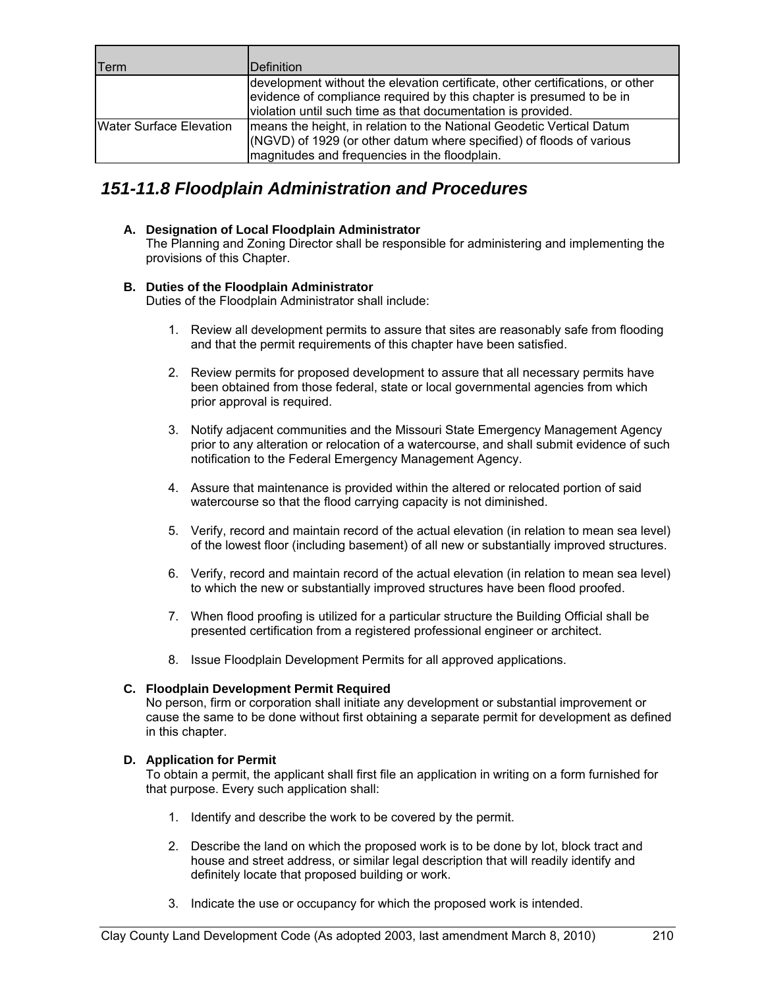| Term                           | <b>IDefinition</b>                                                                                                                                                                                                    |
|--------------------------------|-----------------------------------------------------------------------------------------------------------------------------------------------------------------------------------------------------------------------|
|                                | development without the elevation certificate, other certifications, or other<br>evidence of compliance required by this chapter is presumed to be in<br>violation until such time as that documentation is provided. |
| <b>Water Surface Elevation</b> | means the height, in relation to the National Geodetic Vertical Datum<br>(NGVD) of 1929 (or other datum where specified) of floods of various<br>magnitudes and frequencies in the floodplain.                        |

# *151-11.8 Floodplain Administration and Procedures*

### **A. Designation of Local Floodplain Administrator**

The Planning and Zoning Director shall be responsible for administering and implementing the provisions of this Chapter.

#### **B. Duties of the Floodplain Administrator**

Duties of the Floodplain Administrator shall include:

- 1. Review all development permits to assure that sites are reasonably safe from flooding and that the permit requirements of this chapter have been satisfied.
- 2. Review permits for proposed development to assure that all necessary permits have been obtained from those federal, state or local governmental agencies from which prior approval is required.
- 3. Notify adjacent communities and the Missouri State Emergency Management Agency prior to any alteration or relocation of a watercourse, and shall submit evidence of such notification to the Federal Emergency Management Agency.
- 4. Assure that maintenance is provided within the altered or relocated portion of said watercourse so that the flood carrying capacity is not diminished.
- 5. Verify, record and maintain record of the actual elevation (in relation to mean sea level) of the lowest floor (including basement) of all new or substantially improved structures.
- 6. Verify, record and maintain record of the actual elevation (in relation to mean sea level) to which the new or substantially improved structures have been flood proofed.
- 7. When flood proofing is utilized for a particular structure the Building Official shall be presented certification from a registered professional engineer or architect.
- 8. Issue Floodplain Development Permits for all approved applications.

#### **C. Floodplain Development Permit Required**

No person, firm or corporation shall initiate any development or substantial improvement or cause the same to be done without first obtaining a separate permit for development as defined in this chapter.

#### **D. Application for Permit**

To obtain a permit, the applicant shall first file an application in writing on a form furnished for that purpose. Every such application shall:

- 1. Identify and describe the work to be covered by the permit.
- 2. Describe the land on which the proposed work is to be done by lot, block tract and house and street address, or similar legal description that will readily identify and definitely locate that proposed building or work.
- 3. Indicate the use or occupancy for which the proposed work is intended.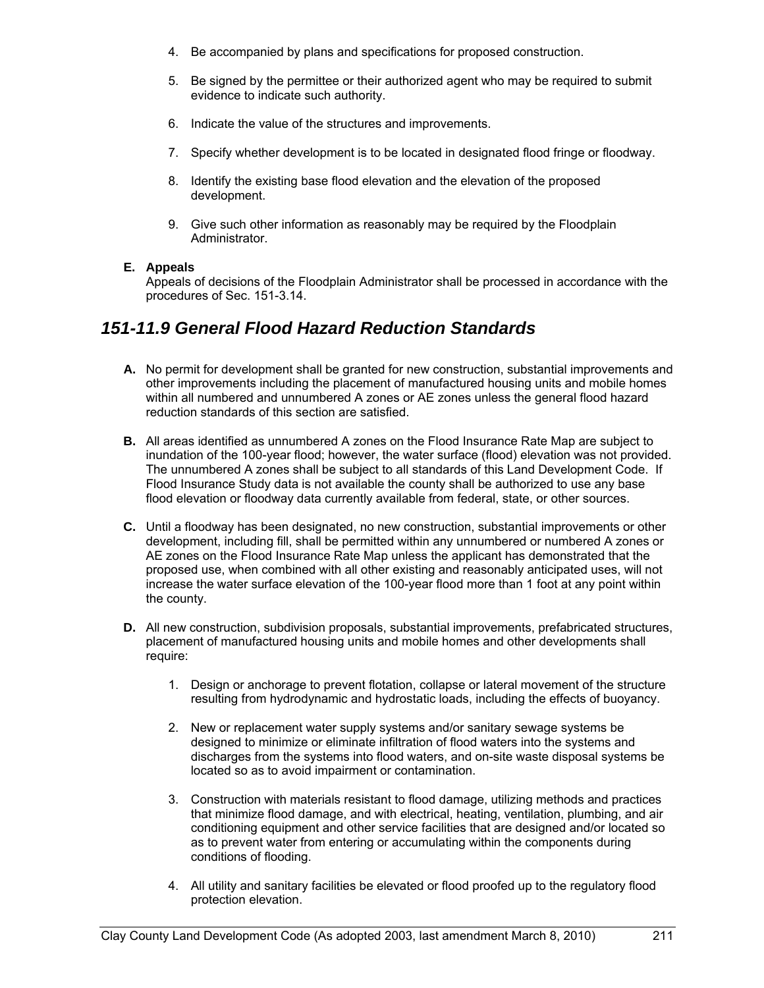- 4. Be accompanied by plans and specifications for proposed construction.
- 5. Be signed by the permittee or their authorized agent who may be required to submit evidence to indicate such authority.
- 6. Indicate the value of the structures and improvements.
- 7. Specify whether development is to be located in designated flood fringe or floodway.
- 8. Identify the existing base flood elevation and the elevation of the proposed development.
- 9. Give such other information as reasonably may be required by the Floodplain Administrator.

#### **E. Appeals**

Appeals of decisions of the Floodplain Administrator shall be processed in accordance with the procedures of Sec. 151-3.14.

## *151-11.9 General Flood Hazard Reduction Standards*

- **A.** No permit for development shall be granted for new construction, substantial improvements and other improvements including the placement of manufactured housing units and mobile homes within all numbered and unnumbered A zones or AE zones unless the general flood hazard reduction standards of this section are satisfied.
- **B.** All areas identified as unnumbered A zones on the Flood Insurance Rate Map are subject to inundation of the 100-year flood; however, the water surface (flood) elevation was not provided. The unnumbered A zones shall be subject to all standards of this Land Development Code. If Flood Insurance Study data is not available the county shall be authorized to use any base flood elevation or floodway data currently available from federal, state, or other sources.
- **C.** Until a floodway has been designated, no new construction, substantial improvements or other development, including fill, shall be permitted within any unnumbered or numbered A zones or AE zones on the Flood Insurance Rate Map unless the applicant has demonstrated that the proposed use, when combined with all other existing and reasonably anticipated uses, will not increase the water surface elevation of the 100-year flood more than 1 foot at any point within the county.
- **D.** All new construction, subdivision proposals, substantial improvements, prefabricated structures, placement of manufactured housing units and mobile homes and other developments shall require:
	- 1. Design or anchorage to prevent flotation, collapse or lateral movement of the structure resulting from hydrodynamic and hydrostatic loads, including the effects of buoyancy.
	- 2. New or replacement water supply systems and/or sanitary sewage systems be designed to minimize or eliminate infiltration of flood waters into the systems and discharges from the systems into flood waters, and on-site waste disposal systems be located so as to avoid impairment or contamination.
	- 3. Construction with materials resistant to flood damage, utilizing methods and practices that minimize flood damage, and with electrical, heating, ventilation, plumbing, and air conditioning equipment and other service facilities that are designed and/or located so as to prevent water from entering or accumulating within the components during conditions of flooding.
	- 4. All utility and sanitary facilities be elevated or flood proofed up to the regulatory flood protection elevation.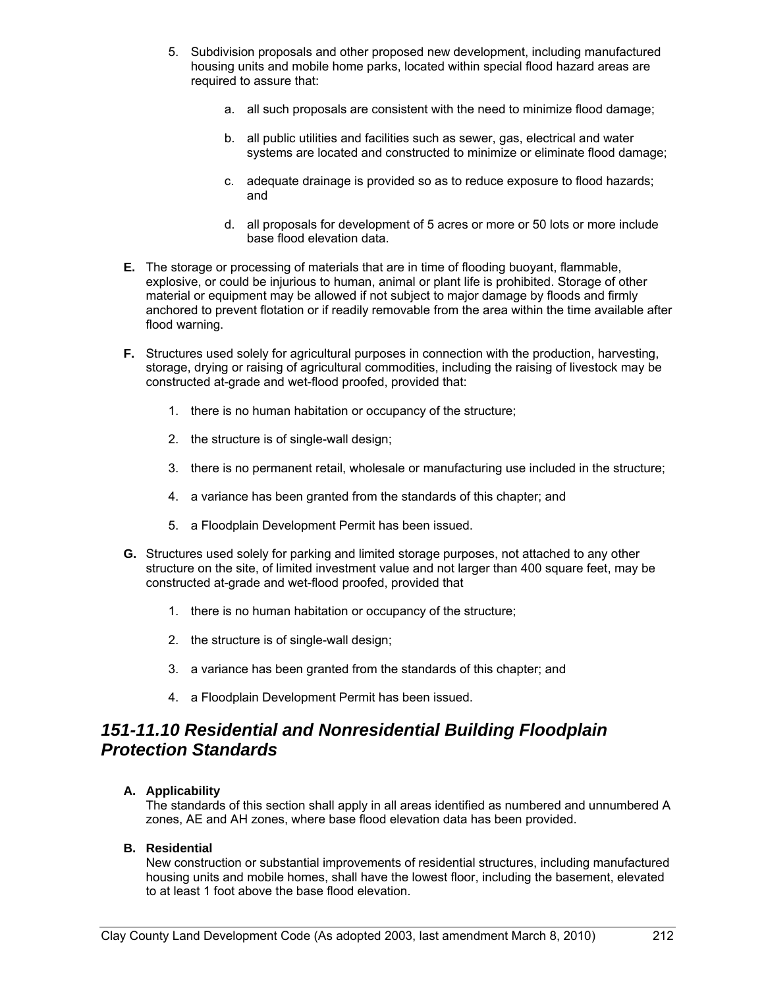- 5. Subdivision proposals and other proposed new development, including manufactured housing units and mobile home parks, located within special flood hazard areas are required to assure that:
	- a. all such proposals are consistent with the need to minimize flood damage;
	- b. all public utilities and facilities such as sewer, gas, electrical and water systems are located and constructed to minimize or eliminate flood damage;
	- c. adequate drainage is provided so as to reduce exposure to flood hazards; and
	- d. all proposals for development of 5 acres or more or 50 lots or more include base flood elevation data.
- **E.** The storage or processing of materials that are in time of flooding buoyant, flammable, explosive, or could be injurious to human, animal or plant life is prohibited. Storage of other material or equipment may be allowed if not subject to major damage by floods and firmly anchored to prevent flotation or if readily removable from the area within the time available after flood warning.
- **F.** Structures used solely for agricultural purposes in connection with the production, harvesting, storage, drying or raising of agricultural commodities, including the raising of livestock may be constructed at-grade and wet-flood proofed, provided that:
	- 1. there is no human habitation or occupancy of the structure;
	- 2. the structure is of single-wall design;
	- 3. there is no permanent retail, wholesale or manufacturing use included in the structure;
	- 4. a variance has been granted from the standards of this chapter; and
	- 5. a Floodplain Development Permit has been issued.
- **G.** Structures used solely for parking and limited storage purposes, not attached to any other structure on the site, of limited investment value and not larger than 400 square feet, may be constructed at-grade and wet-flood proofed, provided that
	- 1. there is no human habitation or occupancy of the structure;
	- 2. the structure is of single-wall design;
	- 3. a variance has been granted from the standards of this chapter; and
	- 4. a Floodplain Development Permit has been issued.

## *151-11.10 Residential and Nonresidential Building Floodplain Protection Standards*

#### **A. Applicability**

The standards of this section shall apply in all areas identified as numbered and unnumbered A zones, AE and AH zones, where base flood elevation data has been provided.

#### **B. Residential**

New construction or substantial improvements of residential structures, including manufactured housing units and mobile homes, shall have the lowest floor, including the basement, elevated to at least 1 foot above the base flood elevation.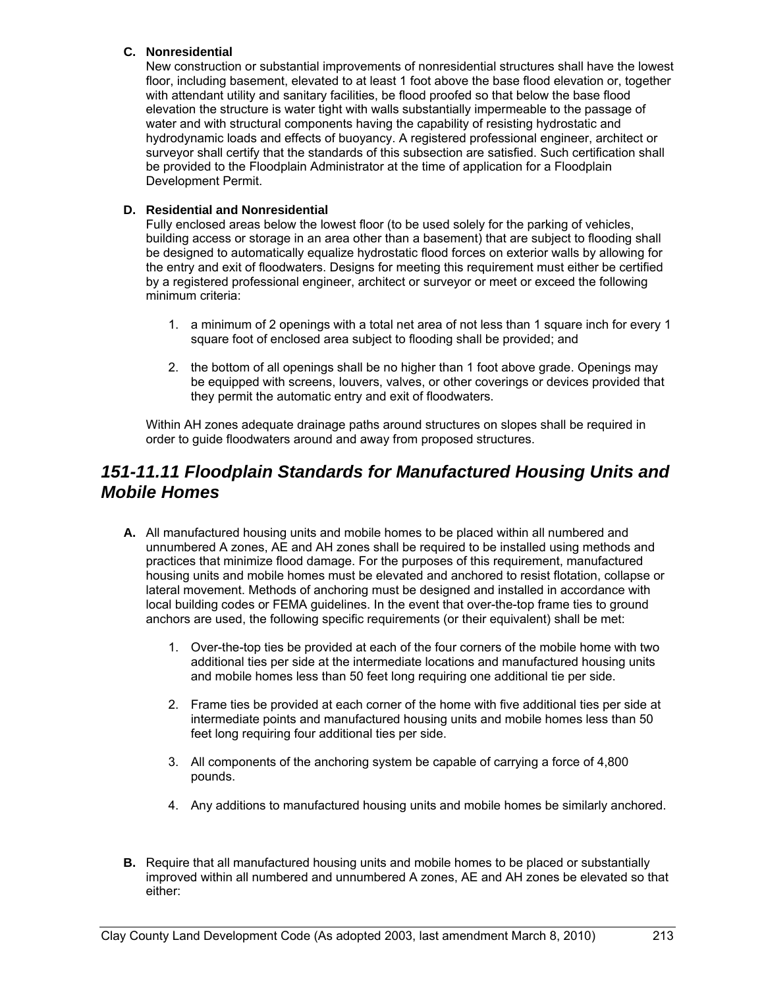#### **C. Nonresidential**

New construction or substantial improvements of nonresidential structures shall have the lowest floor, including basement, elevated to at least 1 foot above the base flood elevation or, together with attendant utility and sanitary facilities, be flood proofed so that below the base flood elevation the structure is water tight with walls substantially impermeable to the passage of water and with structural components having the capability of resisting hydrostatic and hydrodynamic loads and effects of buoyancy. A registered professional engineer, architect or surveyor shall certify that the standards of this subsection are satisfied. Such certification shall be provided to the Floodplain Administrator at the time of application for a Floodplain Development Permit.

#### **D. Residential and Nonresidential**

Fully enclosed areas below the lowest floor (to be used solely for the parking of vehicles, building access or storage in an area other than a basement) that are subject to flooding shall be designed to automatically equalize hydrostatic flood forces on exterior walls by allowing for the entry and exit of floodwaters. Designs for meeting this requirement must either be certified by a registered professional engineer, architect or surveyor or meet or exceed the following minimum criteria:

- 1. a minimum of 2 openings with a total net area of not less than 1 square inch for every 1 square foot of enclosed area subject to flooding shall be provided; and
- 2. the bottom of all openings shall be no higher than 1 foot above grade. Openings may be equipped with screens, louvers, valves, or other coverings or devices provided that they permit the automatic entry and exit of floodwaters.

Within AH zones adequate drainage paths around structures on slopes shall be required in order to guide floodwaters around and away from proposed structures.

## *151-11.11 Floodplain Standards for Manufactured Housing Units and Mobile Homes*

- **A.** All manufactured housing units and mobile homes to be placed within all numbered and unnumbered A zones, AE and AH zones shall be required to be installed using methods and practices that minimize flood damage. For the purposes of this requirement, manufactured housing units and mobile homes must be elevated and anchored to resist flotation, collapse or lateral movement. Methods of anchoring must be designed and installed in accordance with local building codes or FEMA guidelines. In the event that over-the-top frame ties to ground anchors are used, the following specific requirements (or their equivalent) shall be met:
	- 1. Over-the-top ties be provided at each of the four corners of the mobile home with two additional ties per side at the intermediate locations and manufactured housing units and mobile homes less than 50 feet long requiring one additional tie per side.
	- 2. Frame ties be provided at each corner of the home with five additional ties per side at intermediate points and manufactured housing units and mobile homes less than 50 feet long requiring four additional ties per side.
	- 3. All components of the anchoring system be capable of carrying a force of 4,800 pounds.
	- 4. Any additions to manufactured housing units and mobile homes be similarly anchored.
- **B.** Require that all manufactured housing units and mobile homes to be placed or substantially improved within all numbered and unnumbered A zones, AE and AH zones be elevated so that either: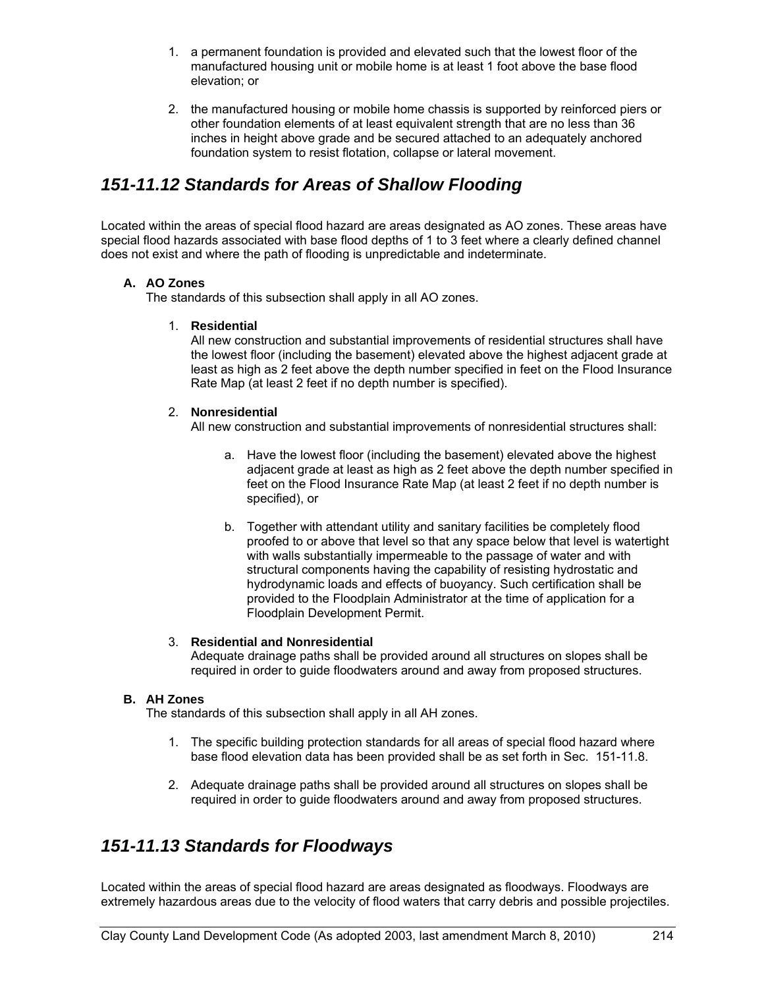- 1. a permanent foundation is provided and elevated such that the lowest floor of the manufactured housing unit or mobile home is at least 1 foot above the base flood elevation; or
- 2. the manufactured housing or mobile home chassis is supported by reinforced piers or other foundation elements of at least equivalent strength that are no less than 36 inches in height above grade and be secured attached to an adequately anchored foundation system to resist flotation, collapse or lateral movement.

# *151-11.12 Standards for Areas of Shallow Flooding*

Located within the areas of special flood hazard are areas designated as AO zones. These areas have special flood hazards associated with base flood depths of 1 to 3 feet where a clearly defined channel does not exist and where the path of flooding is unpredictable and indeterminate.

### **A. AO Zones**

The standards of this subsection shall apply in all AO zones.

#### 1. **Residential**

All new construction and substantial improvements of residential structures shall have the lowest floor (including the basement) elevated above the highest adjacent grade at least as high as 2 feet above the depth number specified in feet on the Flood Insurance Rate Map (at least 2 feet if no depth number is specified).

### 2. **Nonresidential**

All new construction and substantial improvements of nonresidential structures shall:

- a. Have the lowest floor (including the basement) elevated above the highest adjacent grade at least as high as 2 feet above the depth number specified in feet on the Flood Insurance Rate Map (at least 2 feet if no depth number is specified), or
- b. Together with attendant utility and sanitary facilities be completely flood proofed to or above that level so that any space below that level is watertight with walls substantially impermeable to the passage of water and with structural components having the capability of resisting hydrostatic and hydrodynamic loads and effects of buoyancy. Such certification shall be provided to the Floodplain Administrator at the time of application for a Floodplain Development Permit.

#### 3. **Residential and Nonresidential**

Adequate drainage paths shall be provided around all structures on slopes shall be required in order to guide floodwaters around and away from proposed structures.

## **B. AH Zones**

The standards of this subsection shall apply in all AH zones.

- 1. The specific building protection standards for all areas of special flood hazard where base flood elevation data has been provided shall be as set forth in Sec. 151-11.8.
- 2. Adequate drainage paths shall be provided around all structures on slopes shall be required in order to guide floodwaters around and away from proposed structures.

# *151-11.13 Standards for Floodways*

Located within the areas of special flood hazard are areas designated as floodways. Floodways are extremely hazardous areas due to the velocity of flood waters that carry debris and possible projectiles.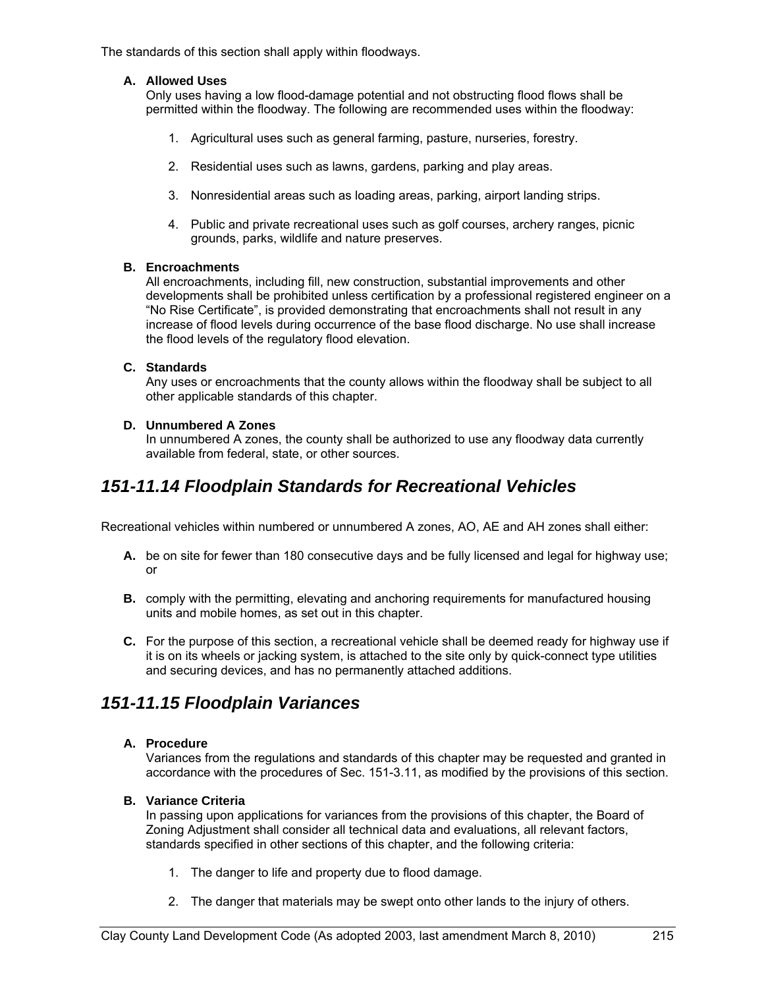The standards of this section shall apply within floodways.

### **A. Allowed Uses**

Only uses having a low flood-damage potential and not obstructing flood flows shall be permitted within the floodway. The following are recommended uses within the floodway:

- 1. Agricultural uses such as general farming, pasture, nurseries, forestry.
- 2. Residential uses such as lawns, gardens, parking and play areas.
- 3. Nonresidential areas such as loading areas, parking, airport landing strips.
- 4. Public and private recreational uses such as golf courses, archery ranges, picnic grounds, parks, wildlife and nature preserves.

### **B. Encroachments**

All encroachments, including fill, new construction, substantial improvements and other developments shall be prohibited unless certification by a professional registered engineer on a "No Rise Certificate", is provided demonstrating that encroachments shall not result in any increase of flood levels during occurrence of the base flood discharge. No use shall increase the flood levels of the regulatory flood elevation.

### **C. Standards**

Any uses or encroachments that the county allows within the floodway shall be subject to all other applicable standards of this chapter.

#### **D. Unnumbered A Zones**

In unnumbered A zones, the county shall be authorized to use any floodway data currently available from federal, state, or other sources.

## *151-11.14 Floodplain Standards for Recreational Vehicles*

Recreational vehicles within numbered or unnumbered A zones, AO, AE and AH zones shall either:

- **A.** be on site for fewer than 180 consecutive days and be fully licensed and legal for highway use; or
- **B.** comply with the permitting, elevating and anchoring requirements for manufactured housing units and mobile homes, as set out in this chapter.
- **C.** For the purpose of this section, a recreational vehicle shall be deemed ready for highway use if it is on its wheels or jacking system, is attached to the site only by quick-connect type utilities and securing devices, and has no permanently attached additions.

# *151-11.15 Floodplain Variances*

#### **A. Procedure**

Variances from the regulations and standards of this chapter may be requested and granted in accordance with the procedures of Sec. 151-3.11, as modified by the provisions of this section.

## **B. Variance Criteria**

In passing upon applications for variances from the provisions of this chapter, the Board of Zoning Adjustment shall consider all technical data and evaluations, all relevant factors, standards specified in other sections of this chapter, and the following criteria:

- 1. The danger to life and property due to flood damage.
- 2. The danger that materials may be swept onto other lands to the injury of others.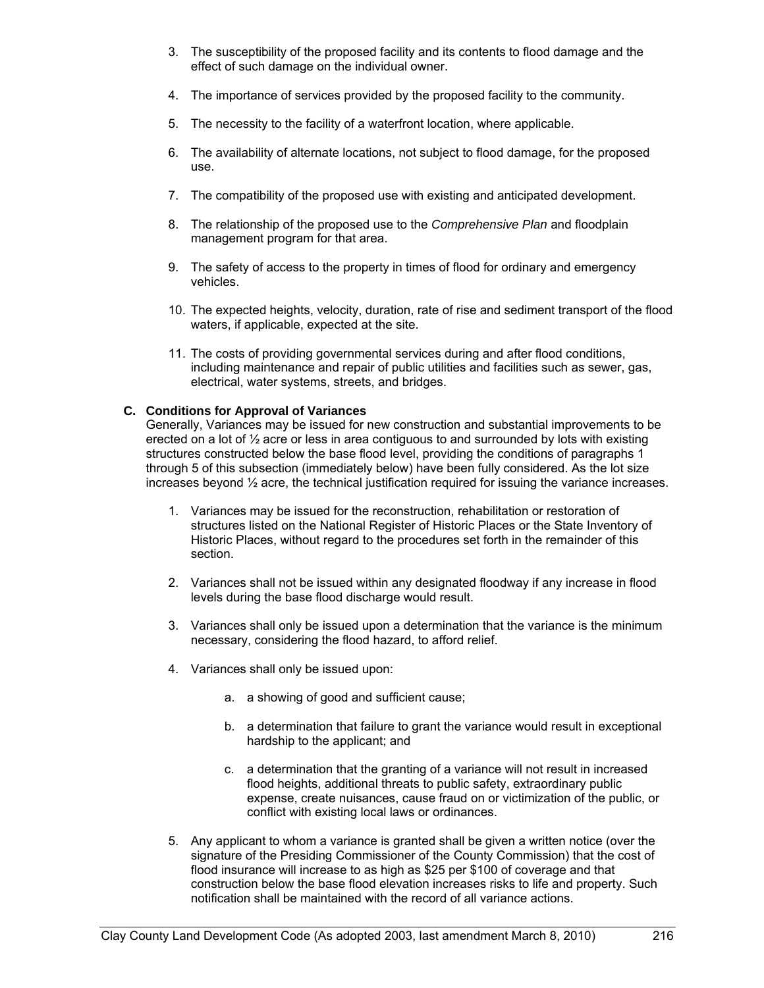- 3. The susceptibility of the proposed facility and its contents to flood damage and the effect of such damage on the individual owner.
- 4. The importance of services provided by the proposed facility to the community.
- 5. The necessity to the facility of a waterfront location, where applicable.
- 6. The availability of alternate locations, not subject to flood damage, for the proposed use.
- 7. The compatibility of the proposed use with existing and anticipated development.
- 8. The relationship of the proposed use to the *Comprehensive Plan* and floodplain management program for that area.
- 9. The safety of access to the property in times of flood for ordinary and emergency vehicles.
- 10. The expected heights, velocity, duration, rate of rise and sediment transport of the flood waters, if applicable, expected at the site.
- 11. The costs of providing governmental services during and after flood conditions, including maintenance and repair of public utilities and facilities such as sewer, gas, electrical, water systems, streets, and bridges.

#### **C. Conditions for Approval of Variances**

Generally, Variances may be issued for new construction and substantial improvements to be erected on a lot of ½ acre or less in area contiguous to and surrounded by lots with existing structures constructed below the base flood level, providing the conditions of paragraphs 1 through 5 of this subsection (immediately below) have been fully considered. As the lot size increases beyond ½ acre, the technical justification required for issuing the variance increases.

- 1. Variances may be issued for the reconstruction, rehabilitation or restoration of structures listed on the National Register of Historic Places or the State Inventory of Historic Places, without regard to the procedures set forth in the remainder of this section.
- 2. Variances shall not be issued within any designated floodway if any increase in flood levels during the base flood discharge would result.
- 3. Variances shall only be issued upon a determination that the variance is the minimum necessary, considering the flood hazard, to afford relief.
- 4. Variances shall only be issued upon:
	- a. a showing of good and sufficient cause;
	- b. a determination that failure to grant the variance would result in exceptional hardship to the applicant; and
	- c. a determination that the granting of a variance will not result in increased flood heights, additional threats to public safety, extraordinary public expense, create nuisances, cause fraud on or victimization of the public, or conflict with existing local laws or ordinances.
- 5. Any applicant to whom a variance is granted shall be given a written notice (over the signature of the Presiding Commissioner of the County Commission) that the cost of flood insurance will increase to as high as \$25 per \$100 of coverage and that construction below the base flood elevation increases risks to life and property. Such notification shall be maintained with the record of all variance actions.